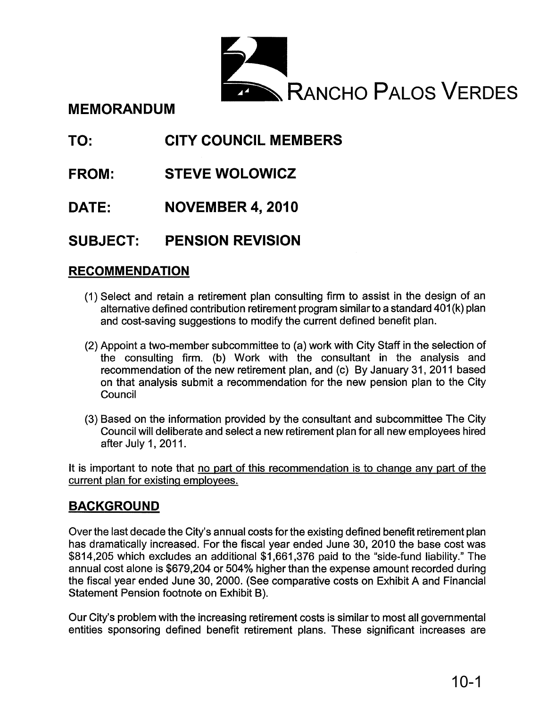

**MEMORANDUM**

#### **TO: CITY COUNCIL MEMBERS**

- **FROM: STEVE WOLOWICZ**
- **DATE: NOVEMBER 4, 2010**

#### **SUBJECT: PENSION REVISION**

### **RECOMMENDATION**

- (1) Select and retain a retirement plan consulting firm to assist in the design of an alternative defined contribution retirement program similarto a standard 401 (k) plan and cost-saving suggestions to modify the current defined benefit plan.
- (2) Appoint a two-member subcommittee to (a) work with City Staff in the selection of the consulting firm. (b) Work with the consultant in the analysis and recommendation of the new retirement plan, and (c) By January 31, 2011 based on that analysis submit a recommendation for the new pension plan to the City Council
- (3) Based on the information provided by the consultant and subcommittee The City Council will deliberate and select a new retirement plan for all new employees hired after July 1, 2011.

It is important to note that no part of this recommendation is to change any part of the current plan for existing employees.

### **BACKGROUND**

Over the last decade the City's annual costs for the existing defined benefit retirement plan has dramatically increased. For the fiscal year ended June 30,2010 the base cost was \$814,205 which excludes an additional \$1,661,376 paid to the "side-fund liability." The annual cost alone is \$679,204 or 504% higher than the expense amount recorded during the fiscal year ended June 30, 2000. (See comparative costs on Exhibit A and Financial Statement Pension footnote on Exhibit B).

Our City's problem with the increasing retirement costs is similar to most all governmental entities sponsoring defined benefit retirement plans. These significant increases are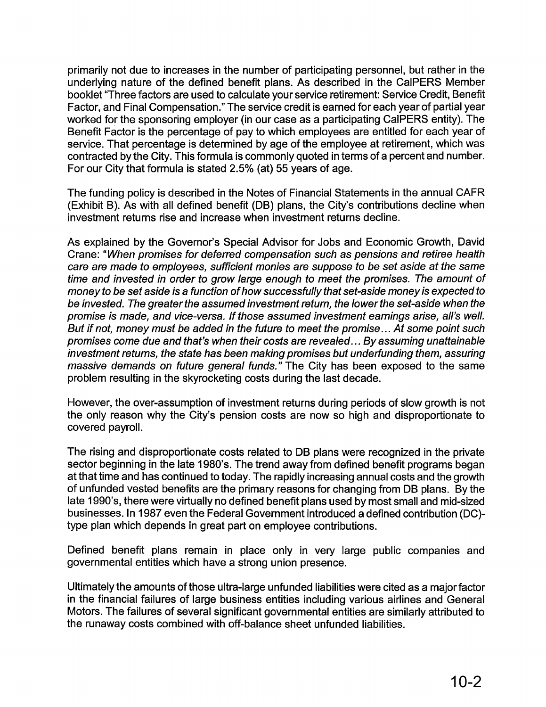primarily not due to increases in the number of participating personnel, but rather in the underlying nature of the defined benefit plans. As described in the CalPERS Member booklet "Three factors are used to calculate your service retirement: Service Credit, Benefit Factor, and Final Compensation." The service credit is earned for each year of partial year worked for the sponsoring employer (in our case as a participating CalPERS entity). The Benefit Factor is the percentage of pay to which employees are entitled for each year of service. That percentage is determined by age of the employee at retirement, which was contracted by the City. This formula is commonly quoted in terms of a percent and number. For our City that formula is stated 2.5% (at) 55 years of age.

The funding policy is described in the Notes of Financial Statements in the annual CAFR (Exhibit B). As with all defined benefit (DB) plans, the City's contributions decline when investment returns rise and increase when investment returns decline.

As explained by the Governor's Special Advisor for Jobs and Economic Growth, David Crane: "When promises for deferred compensation such as pensions and retiree health care are made to employees, sufficient monies are suppose to be set aside at the same time and invested in order to grow large enough to meet the promises. The amount of money to be set aside is a function of how successfully that set-aside money is expected to be invested. The greater the assumed investment return, the lower the set-aside when the promise is made, and vice-versa. If those assumed investment earnings arise, all's well. But if not, money must be added in the future to meet the promise... At some point such promises come due and that's when their costs are revealed... By assuming unattainable investment returns, the state has been making promises but underfunding them, assuring massive demands on future general funds." The City has been exposed to the same problem resulting in the skyrocketing costs during the last decade.

However, the over-assumption of investment returns during periods of slow growth is not the only reason why the City's pension costs are now so high and disproportionate to covered payroll.

The rising and disproportionate costs related to DB plans were recognized in the private sector beginning in the late 1980's. The trend away from defined benefit programs began at that time and has continued to today. The rapidly increasing annual costs and the growth of unfunded vested benefits are the primary reasons for changing from DB plans. By the late 1990's, there were virtually no defined benefit plans used by most small and mid-sized businesses. In 1987 even the Federal Government introduced a defined contribution (DC) type plan which depends in great part on employee contributions.

Defined benefit plans remain in place only in very large public companies and governmental entities which have a strong union presence.

Ultimately the amounts of those ultra-large unfunded liabilities were cited as a major factor in the financial failures of large business entities including various airlines and General Motors. The failures of several significant governmental entities are similarly attributed to the runaway costs combined with off-balance sheet unfunded liabilities.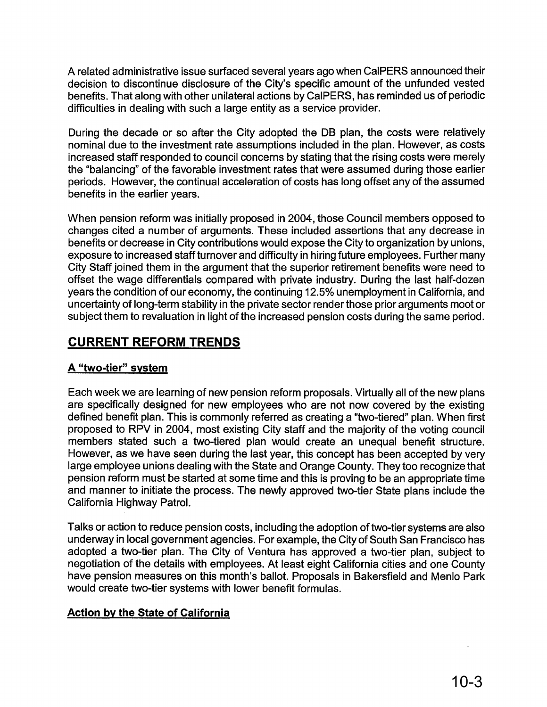A related administrative issue surfaced several years ago when CalPERS announced their decision to discontinue disclosure of the City's specific amount of the unfunded vested benefits. That along with other unilateral actions by CaIPERS, has reminded us of periodic difficulties in dealing with such a large entity as a service provider.

During the decade or so after the City adopted the DB plan, the costs were relatively nominal due to the investment rate assumptions included in the plan. However, as costs increased staff responded to council concerns by stating that the rising costs were merely the "balancing" of the favorable investment rates that were assumed during those earlier periods. However, the continual acceleration of costs has long offset any of the assumed benefits in the earlier years.

When pension reform was initially proposed in 2004, those Council members opposed to changes cited a number of arguments. These included assertions that any decrease in benefits or decrease in City contributions would expose the City to organization by unions, exposure to increased staff turnover and difficulty in hiring future employees. Further many City Staff joined them in the argument that the superior retirement benefits were need to offset the wage differentials compared with private industry. During the last half-dozen years the condition of our economy, the continuing 12.5% unemployment in California, and uncertainty of long-term stability in the private sector render those prior arguments moot or subject them to revaluation in light of the increased pension costs during the same period.

### **CURRENT REFORM TRENDS**

### A "two-tier" system

Each week we are learning of new pension reform proposals. Virtually all of the new plans are specifically designed for new employees who are not now covered by the existing defined benefit plan. This is commonly referred as creating a "two-tiered" plan. When first proposed to RPV in 2004, most existing City staff and the majority of the voting council members stated such a two-tiered plan would create an unequal benefit structure. However, as we have seen during the last year, this concept has been accepted by very large employee unions dealing with the State and Orange County. They too recognize that pension reform must be started at some time and this is proving to be an appropriate time and manner to initiate the process. The newly approved two-tier State plans include the California Highway Patrol.

Talks or action to reduce pension costs, including the adoption of two-tier systems are also underway in local government agencies. For example, the City of South San Francisco has adopted a two-tier plan. The City of Ventura has approved a two-tier plan, subject to negotiation of the details with employees. At least eight California cities and one County have pension measures on this month's ballot. Proposals in Bakersfield and Menlo Park would create two-tier systems with lower benefit formulas.

### Action by the State of California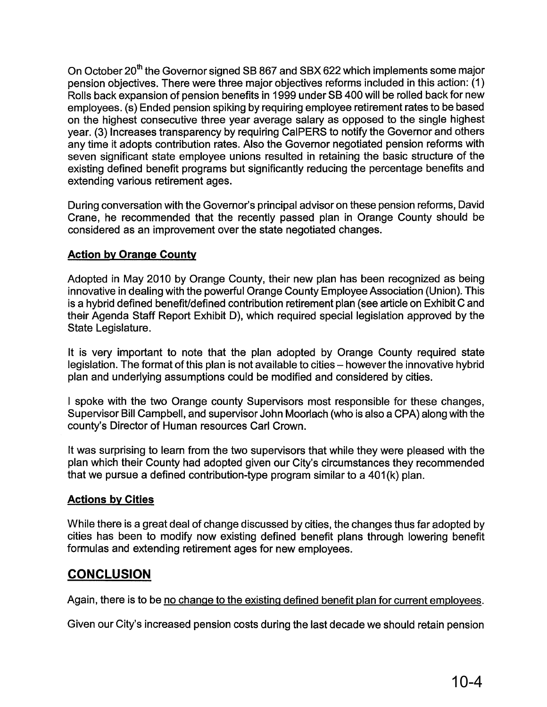On October 20<sup>th</sup> the Governor signed SB 867 and SBX 622 which implements some major pension objectives. There were three major objectives reforms included in this action: (1) Rolls back expansion of pension benefits in 1999 under SB 400 will be rolled back for new employees. (s) Ended pension spiking by requiring employee retirement rates to be based on the highest consecutive three year average salary as opposed to the single highest year. (3) Increases transparency by requiring CalPERS to notify the Governor and others any time it adopts contribution rates. Also the Governor negotiated pension reforms with seven significant state employee unions resulted in retaining the basic structure of the existing defined benefit programs but significantly reducing the percentage benefits and extending various retirement ages.

During conversation with the Governor's principal advisor on these pension reforms, David Crane, he recommended that the recently passed plan in Orange County should be considered as an improvement over the state negotiated changes.

### **Action by Orange County**

Adopted in May 2010 by Orange County, their new plan has been recognized as being innovative in dealing with the powerful Orange County Employee Association (Union). This is a hybrid defined benefit/defined contribution retirement plan (see article on Exhibit C and their Agenda Staff Report Exhibit D), which required special legislation approved by the State Legislature.

It is very important to note that the plan adopted by Orange County required state legislation. The format of this plan is not available to cities - however the innovative hybrid plan and underlying assumptions could be modified and considered by cities.

I spoke with the two Orange county Supervisors most responsible for these changes, Supervisor Bill Campbell, and supervisor John Moorlach (who is also a CPA) along with the county's Director of Human resources Carl Crown.

It was surprising to learn from the two supervisors that while they were pleased with the plan which their County had adopted given our City's circumstances they recommended that we pursue a defined contribution-type program similar to a 401 (k) plan.

### **Actions by Cities**

While there is a great deal of change discussed by cities, the changes thus far adopted by cities has been to modify now existing defined benefit plans through lowering benefit formulas and extending retirement ages for new employees.

### **CONCLUSION**

Again, there is to be no change to the existing defined benefit plan for current employees.

Given our City's increased pension costs during the last decade we should retain pension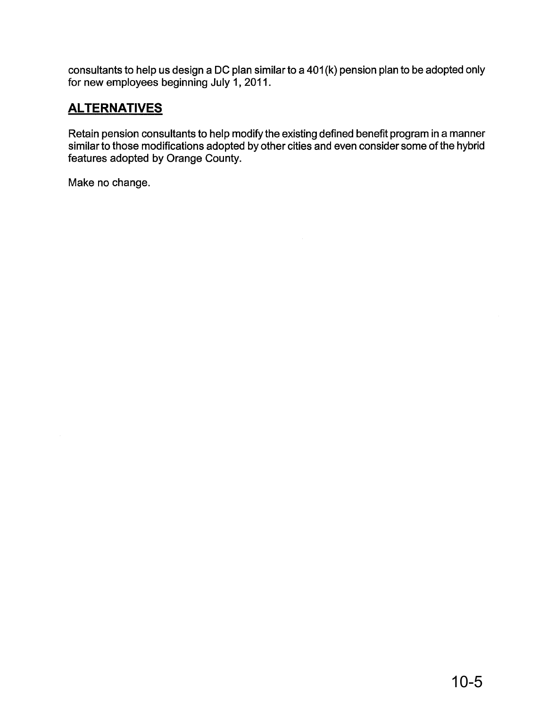consultants to help us design a DC plan similar to a 401 (k) pension plan to be adopted only for new employees beginning July 1, 2011.

### **ALTERNATIVES**

Retain pension consultants to help modify the existing defined benefit program in a manner similar to those modifications adopted by other cities and even consider some of the hybrid features adopted by Orange County.

Make no change.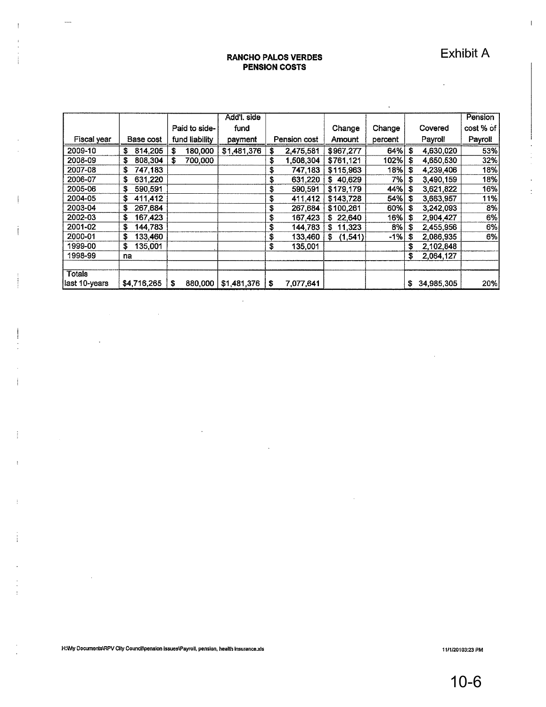Exhibit A

 $\ddot{\phantom{0}}$ 

 $\bar{\rm I}$ 

÷

 $\ddot{\cdot}$ 

#### **RANCHO PALOS VERDES PENSION COSTS**

 $\ddotsc$ 

|                |               |                | Add'l. side |                 |              |         |                  |           |
|----------------|---------------|----------------|-------------|-----------------|--------------|---------|------------------|-----------|
|                |               |                |             |                 |              |         |                  | Pension   |
|                |               | Paid to side-  | fund        |                 | Change       | Change  | Covered          | cost % of |
| Fiscal year    | Base cost     | fund liability | payment     | Pension cost    | Amount       | percent | Payroll          | Payroll   |
| 2009-10        | 814,205<br>£  | 180,000<br>S.  | \$1,481,376 | 2,475,581       | \$967,277    | 64%     | S<br>4,630,020   | 53%       |
| 2008-09        | \$<br>808,304 | 700.000<br>S   |             | \$<br>508,304,  | \$761,121    | 102%    | s<br>4,650,530   | 32%       |
| 2007-08        | \$<br>747.183 |                |             | \$<br>747,183   | \$115,963    | 18%     | s<br>4,239,406   | 18%       |
| 2006-07        | \$<br>631,220 |                |             | \$<br>631,220   | \$40,629     | 7%      | \$<br>3,490,159  | 18%       |
| 2005-06        | \$<br>590,591 |                |             | 590,591<br>\$   | \$179,179    | 44%     | \$<br>3,621,822  | 16%       |
| 2004-05        | \$<br>411,412 |                |             | \$<br>411.412   | \$143,728    | 54%     | s<br>3,663,957   | 11%       |
| 2003-04        | \$<br>267,684 |                |             | \$<br>267,684   | \$100,261    | 60%     | \$<br>3,242,093  | 8%        |
| 2002-03        | \$<br>167.423 |                |             | \$<br>167,423   | \$22,640     | 16%     | \$<br>2,904,427  | 6%        |
| 2001-02        | \$<br>144.783 |                |             | \$<br>144,783   | 11,323<br>s  | 8%      | s<br>2,455,956   | 6%        |
| 2000-01        | S<br>133.460  |                |             | \$<br>133,460   | (1,541)<br>S | $-1%$   | 2,086,935<br>S   | 6%        |
| 1999-00        | \$<br>135,001 |                |             | \$<br>135,001   |              |         | \$<br>2,102,848  |           |
| 1998-99        | na            |                |             |                 |              |         | \$<br>2,064,127  |           |
|                |               |                |             |                 |              |         |                  |           |
| <b>Totals</b>  |               |                |             |                 |              |         |                  |           |
| llast 10-vears | \$4,716,265   | 880,000<br>s   | \$1,481,376 | 7,077,641<br>\$ |              |         | 34,985,305<br>s. | 20%       |

 $\mathcal{A}$ 

 $\bar{z}$ 

 $\bar{\gamma}$ 

 $\mathcal{L}^{\text{max}}_{\text{max}}$  , where  $\mathcal{L}^{\text{max}}_{\text{max}}$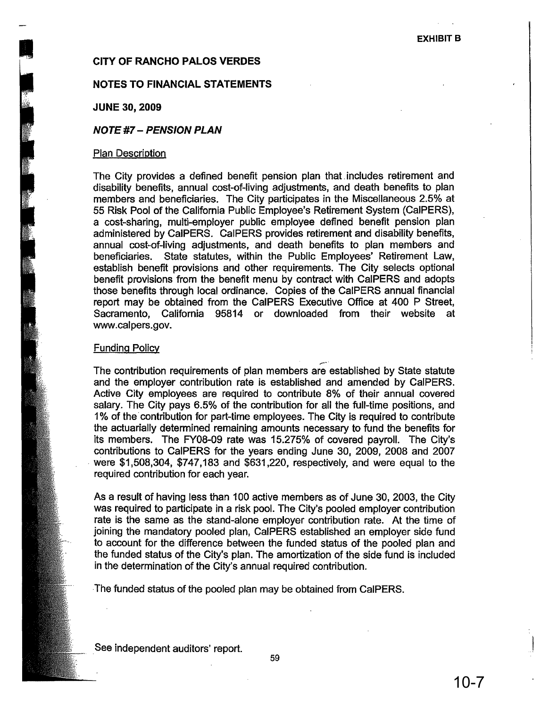# I EXHIBIT B<br>I EXHIBIT B<br>I EXHIBIT B

### NOTES TO FINANCIAL STATEMENTS

JUNE 30, 2009

### NOTE #7 - PENSION PLAN

#### Plan Description

The City provides a defined benefit pension plan that, includes retirement and disability benefits, annual cost-of-Iiving adjustments, and death benefits to plan members and beneficiaries. The City participates in the Miscellaneous 2.5% at 55 Risk Pool of the California Public Employee's Retirement System (CaIPERS), a cost-sharing, multi-employer public employee defined benefit pension plan administered by CaIPERS. CalPERS provides retirement and disability benefits, annual cost-of-Iiving adjustments, and death benefits to plan members and beneficiaries. State statutes, within the Public Employees' Retirement Law, establish benefit provisions and other requirements. The City selects optional benefit provisions from the benefit menu by contract with CalPERS and adopts those benefits through local ordinance. Copies of the CalPERS annual financial report may be obtained from the CalPERS Executive Office at 400 P Street, Sacramento, California 95814 or downloaded from their website at www.calpers.gov.

### Funding Policy

,..-' The contribution requirements of plan members are established by State statute and the employer contribution rate is established and amended by CaIPERS. Active City employees are required to contribute 8% of their annual covered salary. The City pays 6.5% of the contribution for all the full-time positions, and 1% of the' contribution for part-time employees. The City is required to contribute the actuarially determined remaining amounts necessary to fund the benefits for its members. The FY08-09 rate was 15.275% of covered payroll. The City's contributions to CalPERS for the years ending June 30, 2009, 2008 and 2007 , were \$1,508,304, \$747,183 and \$631,220, respectively, and were equal to the reqUired contribution for each year.

As a result of having less than 100 active members as of June 30, 2003, the City was required to participate in a risk pool. The City's pooled employer contribution rate is the same as the stand-alone employer contribution rate. At the time of joining the mandatory pooled plan, CalPERS established an employer side fund to account for the difference between the funded status of the pooled plan and the funded status of the City's plan. The amortization of the side fund is included in the determination of the City's annual required contribution.

The funded status of the pooled plan may be obtained from CaIPERS.

See independent auditors' report.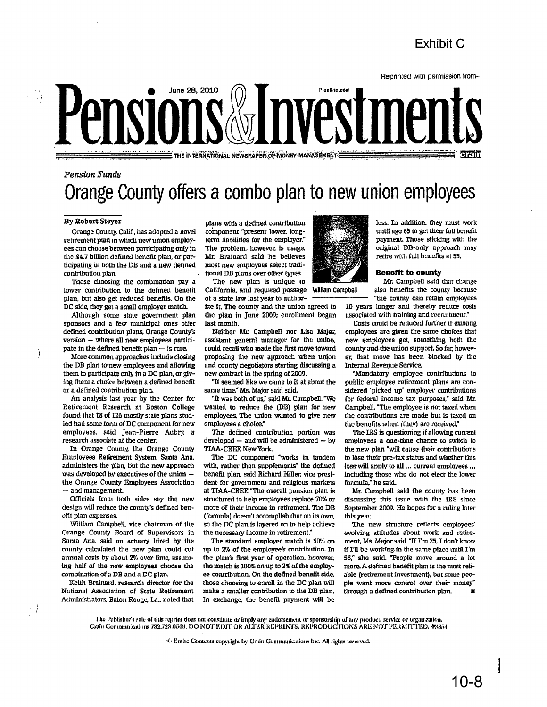### **Exhibit C**



## Pension Funds **Orange County offers acombo plan to new union employees**

#### By Robert Steyer

.\

Ù

 $\langle \rangle$ 

Orange County. Calif., has.adopted a novel retirement plan inwhich newunion employees cun choose between participating only in the \$4.7 billion defined benefit plan, or participating in both the DB and a new defined contribution plan.

Those choosing the combination pay a lower contribution to the defined benefit plan, but also get reduced benefits. On the DC side, they get a small employer match.

Although some state government plan sponsors and a few municipal ones offer defined contribution plans. Orange County's  $version - where all new employees particle$ pate in the defined benefit plan  $-$  is rare.

More common approaches include dosing the DB plan to new employees and allowing them to participate only in a DC plan, or giving them a choice between a defined benefit or a defined contribution plan.

An analysis last year by the Center for Retirement Research at Boston College found that 18 of 126 mostly state plans studied had some form of DC component for new employees, said Jean-Pierre Aubry. a research associate at the center.

In Orange County. the Orange County Employees Retirement System, Santa Ana. administers the plan, but the new approach was developed by executives of the union  $$ the Orange County Employees Association and management.

Officials from both sides say the new design will reduce the county's defined benefit plan expenses.

William Campbell, *vice* chairman of the Orange County Board of Supervisors in Santa Ana, said an actuary hired by the county calculated the new plan could cut annual costs by about 2% over time, assuming half of the new employees choose the combination of a DB and a DC plan.

Keith Brainard. research director for the National Association of Stale Retirement Administrators. Baton Rouge. La.. noted that

plans with a clefined contribution component "present lower. longterm liabilities for the employer." The problem, however, is usage. Mr. Brainard said he believes most new employees select traditional DB plans over other types.

The new plan is unique to California, and required passage William Campbell of a state law last year to author-

ize it. The county and the union agreed to the plan in June 2009; enrollment began last month.

Neither Mr. Campbell nor Lisa Major, assistant general manager for the union, could recall who made the first move toward proposing the new approach when union and county negotiators starting discussing a new contract in the spring of 2009.

"It seemed like we came to it at about the same time," Ms. Major said said.

"It was both of us," said Mr. Campbell. "We wanted to reduce the (DB) plan for new employees. The union wanted to give new employees a choice."

The defined contribution portion was developed  $-$  and will be administered  $-$  by TIAA-CREE New York.

The DC component "works in tandem with, rather than supplements" the defined benefit plan. said Ridlard HIller. vice presldent for government and religious markets at TIAA-CREF. "The overall pension plan is structured to help employees replace 70% or more of their income in retirement. The DB (formula) doesn't accomplish that on its own. so the DC plan is layered on to help achieve the necessary income in retirement."

The standard employer match is 50% on up to 2% of the employee's contribution. In the plan's first year of operation, however, the match is 100% on up to 2% of the employee contribution. On the defined benefit side, those. choosing to enroll in tlie DC plan Will make a smaller contribution to the DB plan. In exchange. the benefit payment \vill be



until age 65 to get their full benefit payment. Those sticking with the original DB-only approach may retire with full benefits at 55.

less. In addition, they must work

#### **Benefit to county**

Mr. Campbell said that change also benefits the county because "the county can retain employees

10 years longer and thereby reduce costs associated with training and recmitment."

Costs could be reduced further if existing employees are given the same choices that new employees get, something both the county-and.the union support, So fur; however. that move has been blocked by the Internal Revenue Service.

"Mandatory employee contributions to public employee retirement plans are considered 'picked up' employer contributions for federal income tax purposes," said Mr. Campbell. "The employee is not taxed when the contributions are made but is taxed on the benefits when (they) are received."

The IRS is questioning if allowing current employees a one-time chance to switch to the new plan "will cause their contributions to lose their pre-tax status and whether this ·Ioss·will apply to all ... current employees ... induding those who do not elect the lower formula," he said.

Mr. Campbell said the county has been discussing this issue with the IRS since September 2009. He hopes for a ruling later this year.

The new structure reflects employees' evolving attitudes about work and retirement, Ms. Major said. "If I'm 25. I don't know if I'll be working in the same place until I'm 55: she said. "People move around a lot more. A defined benefit plan is the most reliable (retirement investment), but some people want more control over their money" through a defined contribution plan.

- The Publisher's sale of this reprint does not constitute or imply any endorsement or sponsorship of any product, service or organization.<br>Crain Communications 732.723.0569, DO NOT EDIT OR ALTER REPRINTS, REPRODUCTIONS AR

 $\cdot$ C. Emire Contents copyright by Crain Communications Inc. All rights reserved.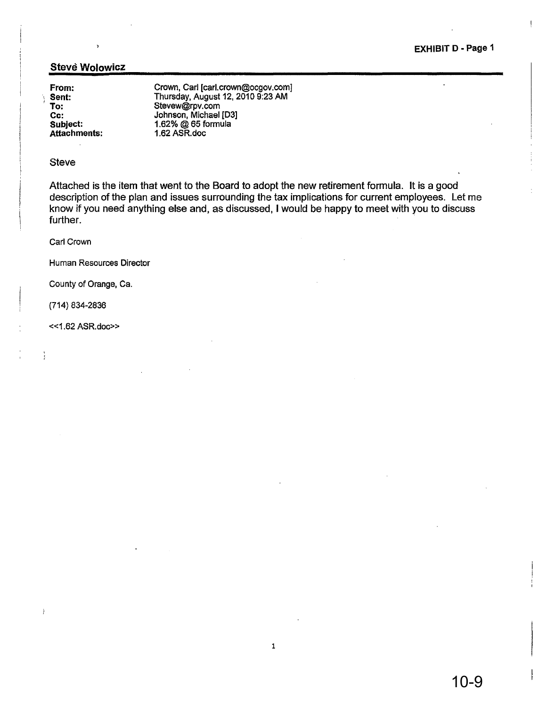EXHIBIT D • Page 1

l.

### Stevé Wolowicz

 $\ddot{\phantom{0}}$ 

From: Sent: To: Cc: SUbject: Attachments:

Crown, Carl [carl.crown@ocgov.com] Thursday, August 12,20109:23 AM Stevew@rpv.com Johnson, Michael [03] 1.62% @ 65 formula 1.62 ASR.doc

#### Steve

Attached is the item that went to the Board to adopt the new retirement formula. It is a good description of the plan and issues surrounding the tax implications for current employees. Let me know if you need anything else and, as discussed, I would be happy to meet with you to discuss further. The contract of the contract of the contract of the contract of the contract of the contract of the contract of the contract of the contract of the contract of the contract of the contract of the contract of the c

Carl Crown

Human Resources Director

County of Orange, Ca.

(714) 834-2836

 $\frac{1}{3}$ 

 $\mathbf{r}$ 

«1.62 ASR.doc»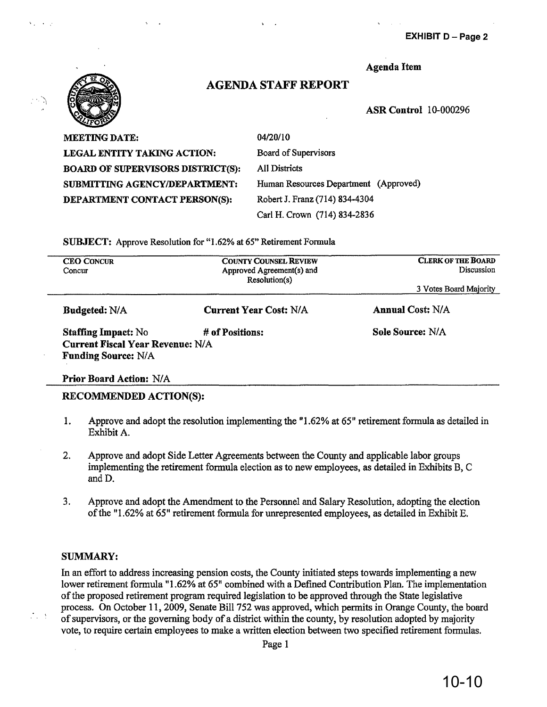EXHIBIT D - Page 2



### AGENDA STAFF REPORT

Agenda Item

ASR Control 10-000296

MEETING DATE: LEGAL ENTITY TAKING ACTION: BOARD OF SUPERVISORS DISTRICT(S): SUBMITTING AGENCY/DEPARTMENT: DEPARTMENT CONTACT PERSON(S):

04/20/10 Board of Supervisors All Districts Human Resources Department (Approved) Robert J. Franz (714) 834-4304 Carl H. Crown (714) 834-2836

SUBJECT: Approve Resolution for "1.62% at 65" Retirement Formula

| <b>CEO CONCUR</b><br>Concur             | <b>COUNTY COUNSEL REVIEW</b><br>Approved Agreement(s) and<br>Resolution(s) | <b>CLERK OF THE BOARD</b><br>Discussion |  |  |
|-----------------------------------------|----------------------------------------------------------------------------|-----------------------------------------|--|--|
|                                         |                                                                            | 3 Votes Board Majority                  |  |  |
| <b>Budgeted: N/A</b>                    | <b>Current Year Cost: N/A</b>                                              | <b>Annual Cost: N/A</b>                 |  |  |
| <b>Staffing Impact: No</b>              | # of Positions:                                                            | Sole Source: N/A                        |  |  |
| <b>Current Fiscal Year Revenue: N/A</b> |                                                                            |                                         |  |  |
| <b>Funding Source: N/A</b>              |                                                                            |                                         |  |  |

### Prior Board Action: N/A

### RECOMMENDED ACTION(S):

- 1. Approve and adopt the resolution implementing the "1.62% at 65" retirement formula as detailed in Exhibit A.
- 2. Approve and adopt Side Letter Agreements between the County and applicable labor groups implementing the retirement formula election as to new employees, as detailed in Exhibits B, C andD.
- 3. Approve and adopt the Amendment to the Personnel and Salary Resolution, adopting the election of the "1.62% at 65" retirement formula for unrepresented employees, as detailed in Exhibit E.

### SUMMARY:

In an effort to address increasing pension costs, the County initiated steps towards implementing a new lower retirement formula "1.62% at 65" combined with a Defined Contribution Plan. The implementation ofthe proposed retirement program required legislation to be approved through the State legislative process. On October 11, 2009, Senate Bill 752 was approved, which permits in Orange County, the board of supervisors, or the governing body of a district within the county, by resolution adopted by majority vote, to require certain employees to make a written election between two specified retirement formulas.

Page 1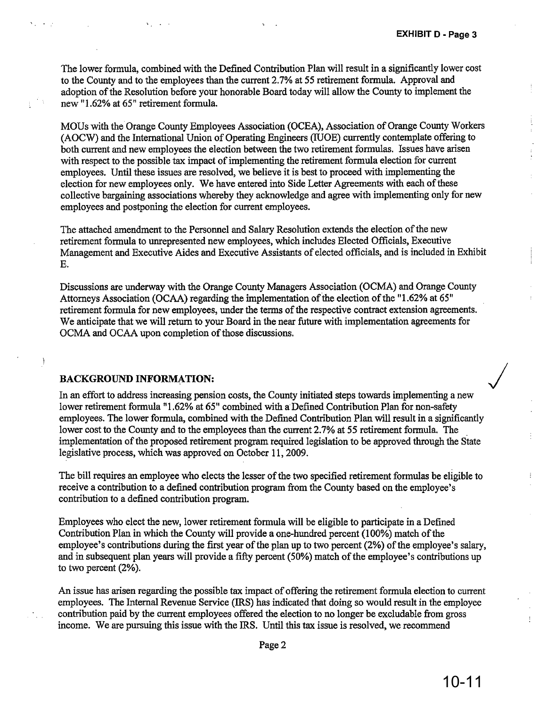The lower formula, combined with the Defined Contribution Plan will result in a significantly lower cost to the County and to the employees than the current 2.7% at 55 retirement formula. Approval and adoption of the Resolution before your honorable Board today will allow the County to implement the new "1.62% at 65" retirement formula.

MOUs with the Orange County Employees Association (OCEA), Association of Orange County Workers (AOCW) and the International Union of Operating Engineers (JUOE) currently contemplate offering to both current and new employees the election between the two retirement formulas. Issues have arisen with respect to the possible tax impact of implementing the retirement formula election for current employees. Until these issues are resolved, we believe it is best to proceed with implementing the election for new employees only. We have entered into Side Letter Agreements with each of these collective bargaining associations whereby they acknowledge and agree with implementing only for new employees and postponing the election for current employees.

The attached amendment to the Personnel and Salary Resolution extends the election of the new retirement formula to unrepresented new employees, which includes Elected Officials, Executive Management and Executive Aides and Executive Assistants of elected officials, and is included in Exhibit E.

Discussions are underway with the Orange County Managers Association (OCMA) and Orange County Attorneys Association (OCAA) regarding the implementation of the election of the "1.62% at 65" retirement formula for new employees, under the terms of the respective contract extension agreements. We anticipate that we will return to your Board in the near future with implementation agreements for OCMA and OCAA upon completion of those discussions.

#### **BACKGROUND INFORMATION:**

 $\mathbf{v}_1, \ldots, \mathbf{v}_n$ 

 $\begin{array}{c} \end{array}$ 

In an effort to address increasing pension costs, the County initiated steps towards implementing a new lower retirement formula "1.62% at 65" combined with a Defined Contribution Plan for non-safety employees. The lower formula, combined with the Defined Contribution Plan will result in a significantly lower cost to the County and to the employees than the current 2.7% at 55 retirement formula. The implementation of the proposed retirement program required legislation to be approved through the State legislative process, which was approved on October 11,2009.

The bill requires an employee who elects the lesser of the two specified retirement formulas be eligible to receive a contribution to a defined contribution program from the County based on the employee's contribution to a defined contribution program.

Employees who elect the new, lower retirement formula will be eligible to participate in a Defined Contribution Plan in which the County will provide a one-hundred percent  $(100\%)$  match of the employee's contributions during the first year of the plan up to two percent (2%) of the employee's salary, and in subsequent plan years will provide a fifty percent (50%) match of the employee's contributions up to two percent (2%).

An issue has arisen regarding the possible tax impact of offering the retirement formula election to current employees. The Internal Revenue Service (IRS) has indicated that doing so would result in the employee contribution paid by the Current employees offered the election to no longer be excludable from gross income. We are pursuing this issue with the IRS. Until this tax issue is resolved, we recommend

 $\ddot{.}$ 

 $\overline{ }$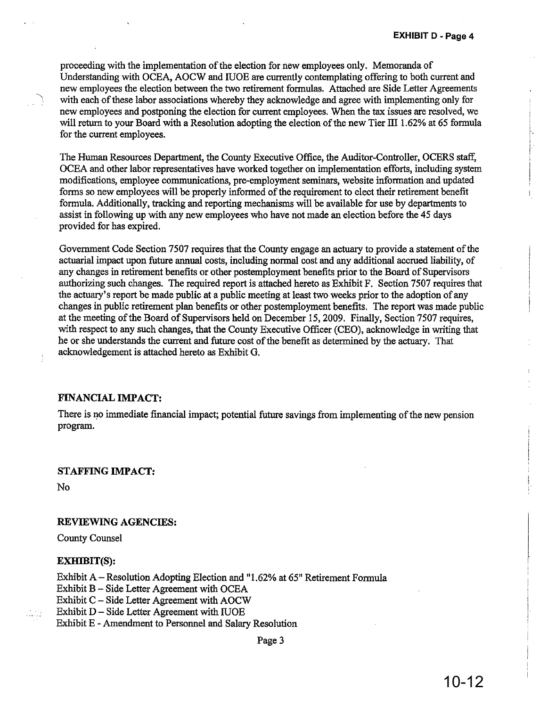proceeding with the implementation of the election for new employees only. Memoranda of Understanding with OCEA, AOCW and lUOE are currently contemplating offering to both current and new employees the election between the two retirement formulas. Attached are Side Letter Agreements with each of these labor associations whereby they acknowledge and agree with implementing only for new employees and postponing the election for current employees. When the tax issues are resolved, we will return to your Board with a Resolution adopting the election of the new Tier III 1.62% at 65 formula for the current employees.

The Human Resources Department, the County Executive Office, the Auditor-Controller, OCERS staff, OCEA and other labor representatives have worked together on implementation efforts, including system modifications, employee communications, pre-employment seminars, website information and updated forms so new employees will be properly informed of the requirement to elect their retirement benefit formula. Additionally, tracking and reporting mechanisms will be available for use by departments to assist in following up with any new employees who have not made an election before the 45 days provided for has expired.

Government Code Section 7507 requires that the County engage an actuary to provide a statement ofthe actuarial impact upon future annual costs, including normal cost and any additional accrued liability, of any changes in retirement benefits or other postemployment benefits prior to the Board of Supervisors authorizing such changes. The required report is attached hereto as Exhibit F. Section 7507 requires that the actuary's report be made public at a public meeting at least two weeks prior to the adoption of any changes in public retirement plan benefits or other postemployment benefits. The report was made public at the meeting of the Board of Supervisors held on December 15, 2009. Finally, Section 7507 requires, with respect to any such changes, that the County Executive Officer (CEO), acknowledge in writing that he or she understands the current and future cost of the benefit as determined by the actuary. That acknowledgement is attached hereto as Exhibit G.

#### FINANCIAL IMPACT:

There is no immediate financial impact; potential future savings from implementing of the new pension program.

#### STAFFING IMPACT:

No

':

### REVIEWING AGENCIES:

County Counsel

#### EXHIBIT(S):

Exhibit A - Resolution Adopting Election and "1.62% at 65" Retirement Formula Exhibit B - Side Letter Agreement with OCEA Exhibit C - Side Letter Agreement with AOCW Exhibit  $D -$  Side Letter Agreement with IUOE Exhibit E - Amendment to Personnel and Salary Resolution